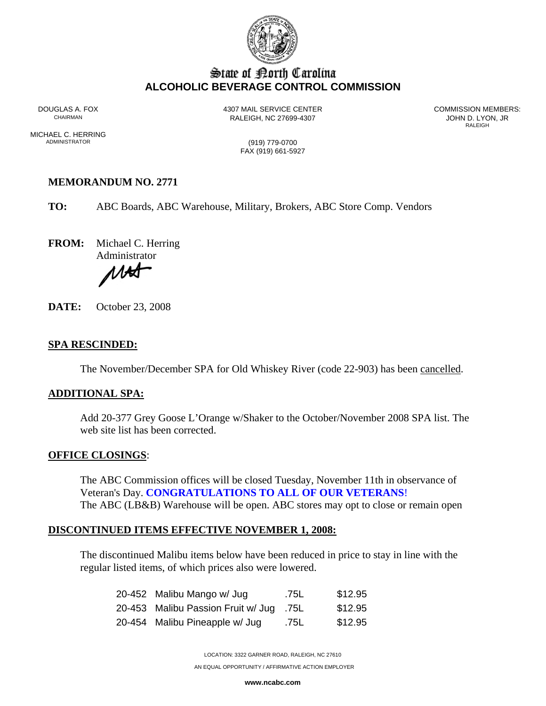

# State of Borth Carolina **ALCOHOLIC BEVERAGE CONTROL COMMISSION**

DOUGLAS A. FOX 4307 MAIL SERVICE CENTER COMMISSION MEMBERS: RALEIGH, NC 27699-4307<br>RALEIGH

RALEIGH **RALEIGH** 

MICHAEL C. HERRING<br>ADMINISTRATOR

(919) 779-0700 FAX (919) 661-5927

## **MEMORANDUM NO. 2771**

**TO:** ABC Boards, ABC Warehouse, Military, Brokers, ABC Store Comp. Vendors

**FROM:** Michael C. Herring

Administrator

UH

**DATE:** October 23, 2008

## **SPA RESCINDED:**

The November/December SPA for Old Whiskey River (code 22-903) has been cancelled.

#### **ADDITIONAL SPA:**

Add 20-377 Grey Goose L'Orange w/Shaker to the October/November 2008 SPA list. The web site list has been corrected.

## **OFFICE CLOSINGS**:

The ABC Commission offices will be closed Tuesday, November 11th in observance of Veteran's Day. **CONGRATULATIONS TO ALL OF OUR VETERANS**! The ABC (LB&B) Warehouse will be open. ABC stores may opt to close or remain open

## **DISCONTINUED ITEMS EFFECTIVE NOVEMBER 1, 2008:**

The discontinued Malibu items below have been reduced in price to stay in line with the regular listed items, of which prices also were lowered.

| 20-452 Malibu Mango w/ Jug              | .75L | \$12.95 |
|-----------------------------------------|------|---------|
| 20-453 Malibu Passion Fruit w/ Jug .75L |      | \$12.95 |
| 20-454 Malibu Pineapple w/ Jug          | .75L | \$12.95 |

LOCATION: 3322 GARNER ROAD, RALEIGH, NC 27610

AN EQUAL OPPORTUNITY / AFFIRMATIVE ACTION EMPLOYER

**www.ncabc.com**